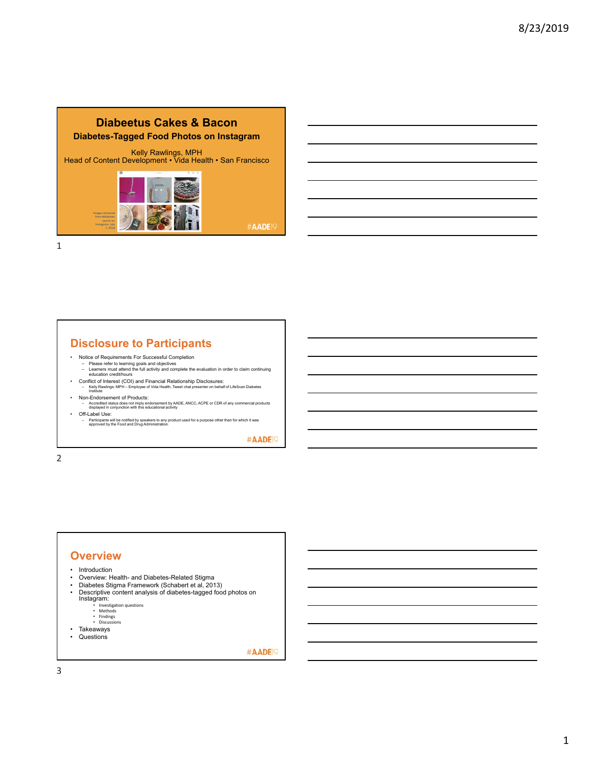#### **Diabeetus Cakes & Bacon Diabetes-Tagged Food Photos on Instagram**

Kelly Rawlings, MPH Head of Content Development • Vida Health • San Francisco



#AADE<sup>19</sup>

1

# **Disclosure to Participants**

- 
- Notice of Requirements For Successful Completion Please refer to learning goals and objectives Learners must attend the full activity and complete the evaluation in order to claim continuing education credit/hours
- Conflict of Interest (COI) and Financial Relationship Disclosures: Kelly Rawlings: MPH Employee of Vida Health, Tweet chat presenter on behalf of LifeScan Diabetes Institute
- Non-Endorsement of Products: – Accredited status does not imply endorsement by AADE, ANCC, ACPE or CDR of any commercial products displayed in conjunction with this educational activity
- Off-Label Use: – Participants will be notified by speakers to any product used for a purpose other than for which it was approved by the Food and Drug Administration.

#AADE<sup>19</sup>

2

# **Overview** • Introduction<br>• Overview: He

- Overview: Health- and Diabetes-Related Stigma<br>• Diabetes Stigma Framework (Schabert et al. 201
- Diabetes Stigma Framework (Schabert et al, 2013)<br>• Descriptive content analysis of diabetes-tagged food • Descriptive content analysis of diabetes-tagged food photos on Instagram: • Investigation questions
	-
	- Methods Findings Discussions
	-
- Takeaways
- Questions

#AADE<sup>19</sup>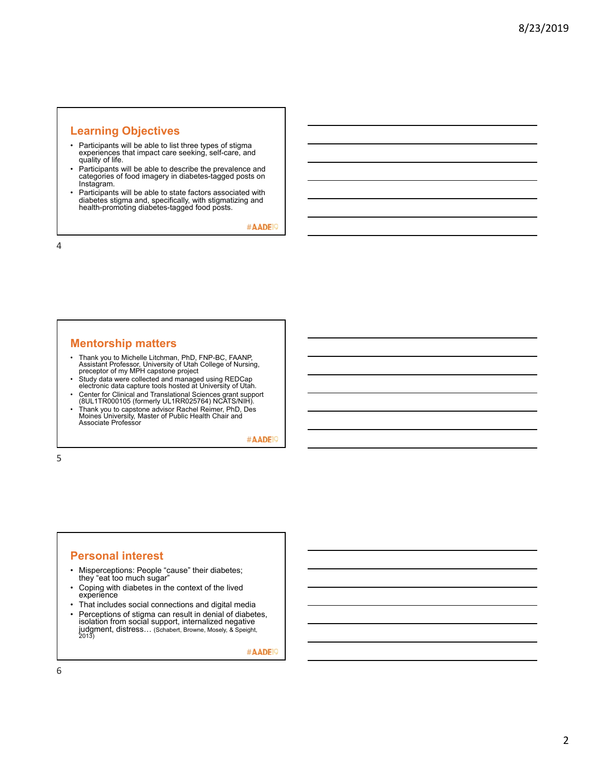# **Learning Objectives**

- Participants will be able to list three types of stigma experiences that impact care seeking, self-care, and quality of life.
- Participants will be able to describe the prevalence and categories of food imagery in diabetes-tagged posts on Instagram.
- Participants will be able to state factors associated with diabetes stigma and, specifically, with stigmatizing and health-promoting diabetes-tagged food posts.

#AADE<sup>19</sup>

4

# **Mentorship matters**

- Thank you to Michelle Litchman, PhD, FNP-BC, FAANP, Assistant Professor, University of Utah College of Nursing, preceptor of my MPH capstone project
- Study data were collected and managed using REDCap electronic data capture tools hosted at University of Utah.
- Center for Clinical and Translational Sciences grant support (8UL1TR000105 (formerly UL1RR025764) NCATS/NIH).
- Thank you to capstone advisor Rachel Reimer, PhD, Des Moines University, Master of Public Health Chair and Associate Professor

#AADE<sup>19</sup>

5

#### **Personal interest**

- Misperceptions: People "cause" their diabetes; they "eat too much sugar"
- Coping with diabetes in the context of the lived experience
- That includes social connections and digital media
- Perceptions of stigma can result in denial of diabetes, isolation from social support, internalized negative judgment, distress… (Schabert, Browne, Mosely, & Speight, 2013)

#AADE<sup>19</sup>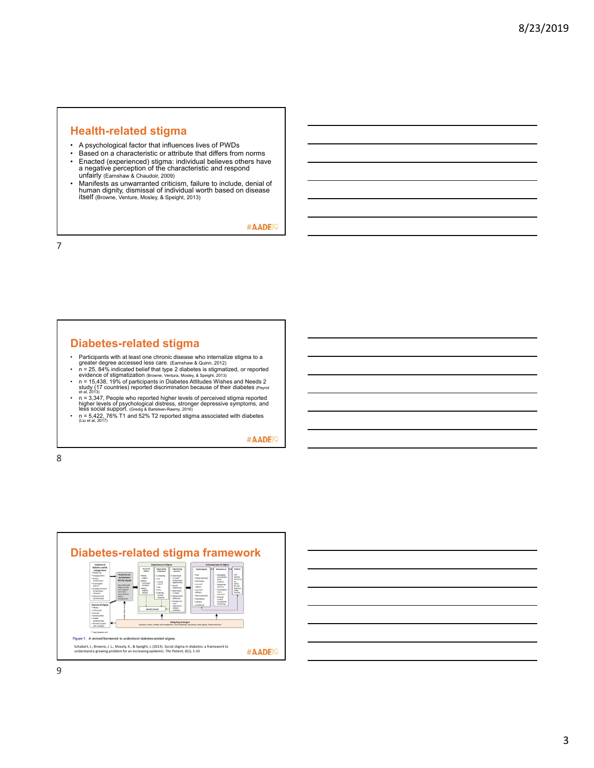#### **Health-related stigma**

- A psychological factor that influences lives of PWDs
- Based on a characteristic or attribute that differs from norms<br>• Fnacted (experienced) stigma: individual believes others have
- Enacted (experienced) stigma: individual believes others have a negative perception of the characteristic and respond unfairly (Earnshaw & Chaudoir, 2009)
- Manifests as unwarranted criticism, failure to include, denial of human dignity, dismissal of individual worth based on disease itself (Browne, Venture, Mosley, & Speight, 2013)

#AADE<sup>19</sup>

7

# **Diabetes-related stigma**

- 
- 
- 
- Participants with at least one chronic disease who internalize stigma to a<br>greater degree accessed less care. (Earnshaw & Quinn, 2012)<br>
 n = 25, 84% indicated belief that type 2 diabetes is stigmatized, or reported<br>
e
- 

#AADE<sup>19</sup>



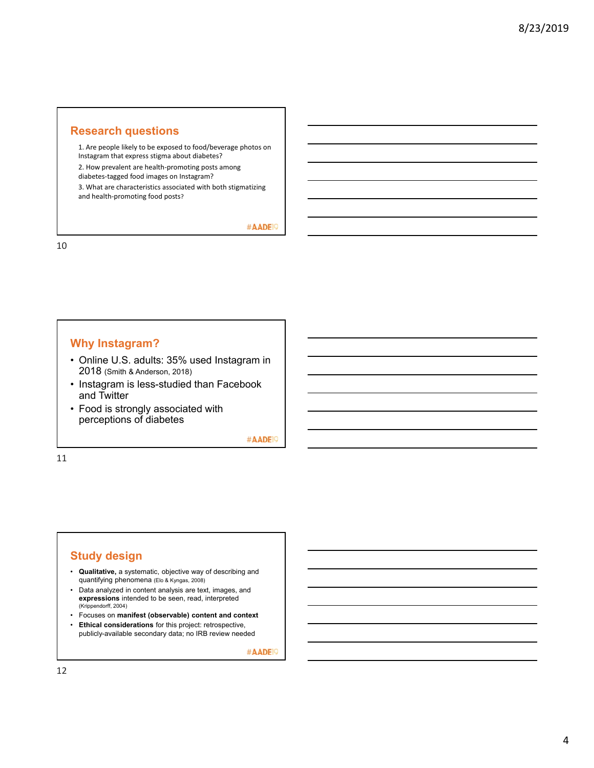#### **Research questions**

1. Are people likely to be exposed to food/beverage photos on Instagram that express stigma about diabetes?

2. How prevalent are health‐promoting posts among

diabetes‐tagged food images on Instagram?

3. What are characteristics associated with both stigmatizing and health‐promoting food posts?

#AADE<sup>19</sup>

10

# **Why Instagram?**

- Online U.S. adults: 35% used Instagram in 2018 (Smith & Anderson, 2018)
- Instagram is less-studied than Facebook and Twitter
- Food is strongly associated with perceptions of diabetes

#AADE<sup>19</sup>

11

#### **Study design**

- **Qualitative,** a systematic, objective way of describing and quantifying phenomena (Elo & Kyngas, 2008)
- Data analyzed in content analysis are text, images, and **expressions** intended to be seen, read, interpreted (Krippendorff, 2004)
- Focuses on **manifest (observable) content and context**
- **Ethical considerations** for this project: retrospective, publicly-available secondary data; no IRB review needed

#AADE<sup>19</sup>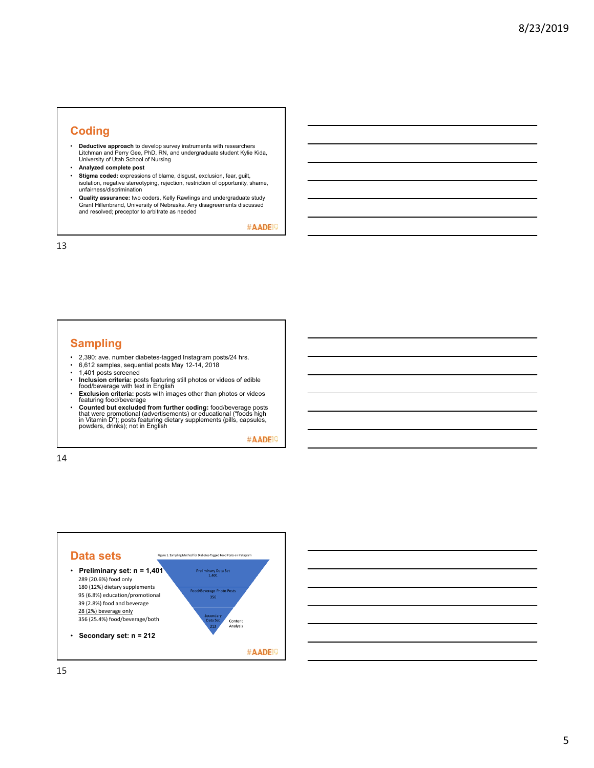#### **Coding**

- **Deductive approach** to develop survey instruments with researchers Litchman and Perry Gee, PhD, RN, and undergraduate student Kylie Kida, University of Utah School of Nursing
- **Analyzed complete post**
- **Stigma coded:** expressions of blame, disgust, exclusion, fear, guilt, isolation, negative stereotyping, rejection, restriction of opportunity, shame, unfairness/discrimination
- **Quality assurance:** two coders, Kelly Rawlings and undergraduate study Grant Hillenbrand, University of Nebraska. Any disagreements discussed and resolved; preceptor to arbitrate as needed

#AADE<sup>19</sup>

13

#### **Sampling**

- 2,390: ave. number diabetes-tagged Instagram posts/24 hrs.
- 6,612 samples, sequential posts May 12-14, 2018 1,401 posts screened
- 
- **Inclusion criteria:** posts featuring still photos or videos of edible food/beverage with text in English
- **Exclusion criteria:** posts with images other than photos or videos featuring food/beverage
- Counted but excluded from further coding: food/beverage posts<br>that were promotional (advertisements) or educational ("foods high<br>in Vitamin D"); posts featuring dietary supplements (pills, capsules,<br>powders, drinks); not

#AADE<sup>19</sup>

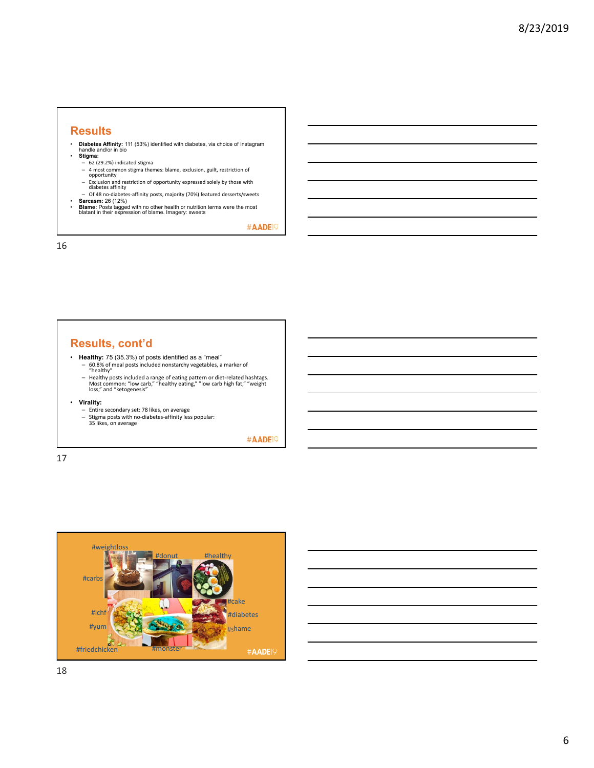#### **Results**

- **Diabetes Affinity:** 111 (53%) identified with diabetes, via choice of Instagram handle and/or in bio
	- **Stigma:**
	-
	- $-$  62 (29.2%) indicated stigma<br>- 4 most common stigma themes: blame, exclusion, guilt, restriction of – 4 most common stigma themes: blame, exclusion, guilt, restriction of opportunity
	- Exclusion and restriction of opportunity expressed solely by those with diabetes affinity – Of 48 no‐diabetes‐affinity posts, majority (70%) featured desserts/sweets
	-
- **Sarcasm:** 26 (12%) **Blame:** Posts tagged with no other health or nutrition terms were the most blatant in their expression of blame. Imagery: sweets

#AADE<sup>19</sup>

16

#### **Results, cont'd**

- **Healthy:** 75 (35.3%) of posts identified as a "meal"<br>- 60.8% of meal posts included nonstarchy vegetables, a marker of<br>"healthy"
	-
	- Healthy posts included a range of eating pattern or diet-related hashtags.<br>Most common: "low carb," "healthy eating," "low carb high fat," "weight<br>loss," and "ketogenesis"
- -
- **Virality:**<br>
 Entire secondary set: 78 likes, on average<br>
 Stigma posts with no-diabetes-affinity less popular:<br>
35 likes, on average

#AADE<sup>19</sup>

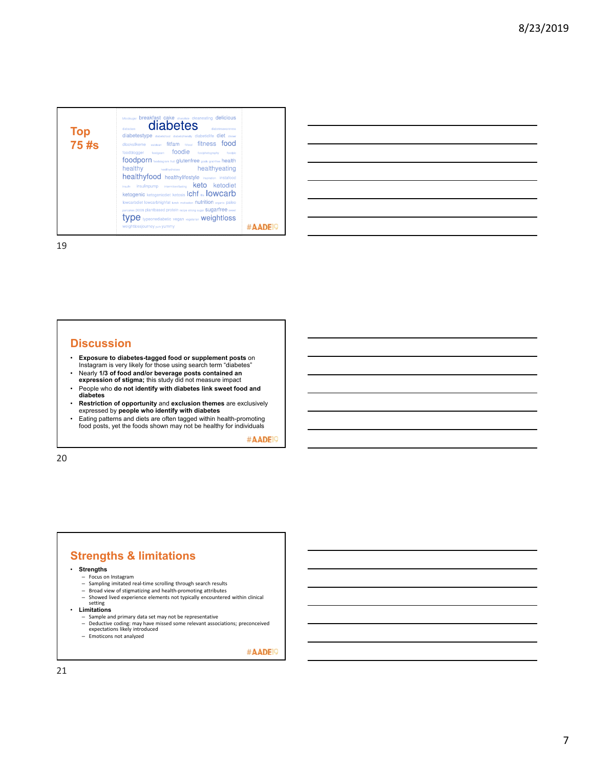| Top<br>75 #s | bloodsugar breakfast cake chocolate cleaneating delicious<br>diabetes<br>dishetesmusreness<br>dishadass<br>diabetestype diabetictood diabetictriendly diabeticlife diet dinner<br>dlookslikeme eatclean fitfam stood fitness food<br>foodblogger foodgasm foodie foodphotography<br>fondoio<br>foodporn toodstagram fruit glutenfree goals graintree health<br>healthy<br><b>healthychoices healthyeating</b><br>healthyfood healthylifestyle inspiration instafood<br><b>keto</b> ketodiet<br>insulin insulinpump intermittentfasting<br><b>ketogenic ketogenicdiet ketosis Ichf ne IOWCArD</b><br>lowcarbdiet lowcarbhighfat tunch motivation nutrition organic paleo<br>pancakes pcos plantbased protein recipe strong sugar SUQATTFEE sweet<br>$\mathsf{type}$ typeonediabetic vegan vegetarian $\mathsf{weightloss}$<br>weight ossjourney yum yummy |  |
|--------------|----------------------------------------------------------------------------------------------------------------------------------------------------------------------------------------------------------------------------------------------------------------------------------------------------------------------------------------------------------------------------------------------------------------------------------------------------------------------------------------------------------------------------------------------------------------------------------------------------------------------------------------------------------------------------------------------------------------------------------------------------------------------------------------------------------------------------------------------------------|--|
|--------------|----------------------------------------------------------------------------------------------------------------------------------------------------------------------------------------------------------------------------------------------------------------------------------------------------------------------------------------------------------------------------------------------------------------------------------------------------------------------------------------------------------------------------------------------------------------------------------------------------------------------------------------------------------------------------------------------------------------------------------------------------------------------------------------------------------------------------------------------------------|--|

| <u> 1989 - Johann Stoff, deutscher Stoff, der Stoff, der Stoff, der Stoff, der Stoff, der Stoff, der Stoff, der S</u> |  |  |  |
|-----------------------------------------------------------------------------------------------------------------------|--|--|--|
| <u> 1989 - Johann Stoff, amerikansk politiker (d. 1989)</u>                                                           |  |  |  |
| <u> 1989 - Johann Stoff, amerikansk politiker (d. 1989)</u>                                                           |  |  |  |
|                                                                                                                       |  |  |  |
| <u> 1989 - Johann Stoff, deutscher Stoff, der Stoff, der Stoff, der Stoff, der Stoff, der Stoff, der Stoff, der S</u> |  |  |  |
| <u> 1989 - Johann Stoff, deutscher Stoffen und der Stoffen und der Stoffen und der Stoffen und der Stoffen und d</u>  |  |  |  |
|                                                                                                                       |  |  |  |

19

#### **Discussion**

- **Exposure to diabetes-tagged food or supplement posts** on Instagram is very likely for those using search term "diabetes"
- Nearly **1/3 of food and/or beverage posts contained an expression of stigma;** this study did not measure impact
- People who **do not identify with diabetes link sweet food and diabetes**
- **Restriction of opportunity** and **exclusion themes** are exclusively expressed by **people who identify with diabetes**
- Eating patterns and diets are often tagged within health-promoting food posts, yet the foods shown may not be healthy for individuals

#AADE<sup>19</sup>

20

# **Strengths & limitations**

- **Strengths**
	-
	- Focus on Instagram Sampling imitated real‐time scrolling through search results
	-
- Broad view of stigmatizing and health‐promoting attributes<br>– Showed lived experience elements not typically encountered within clinical<br>setting • **Limitations**
- -
	- Sample and primary data set may not be representative Deductive coding: may have missed some relevant associations; preconceived expectations likely introduced Emoticons not analyzed
	-

#AADE<sup>1</sup>